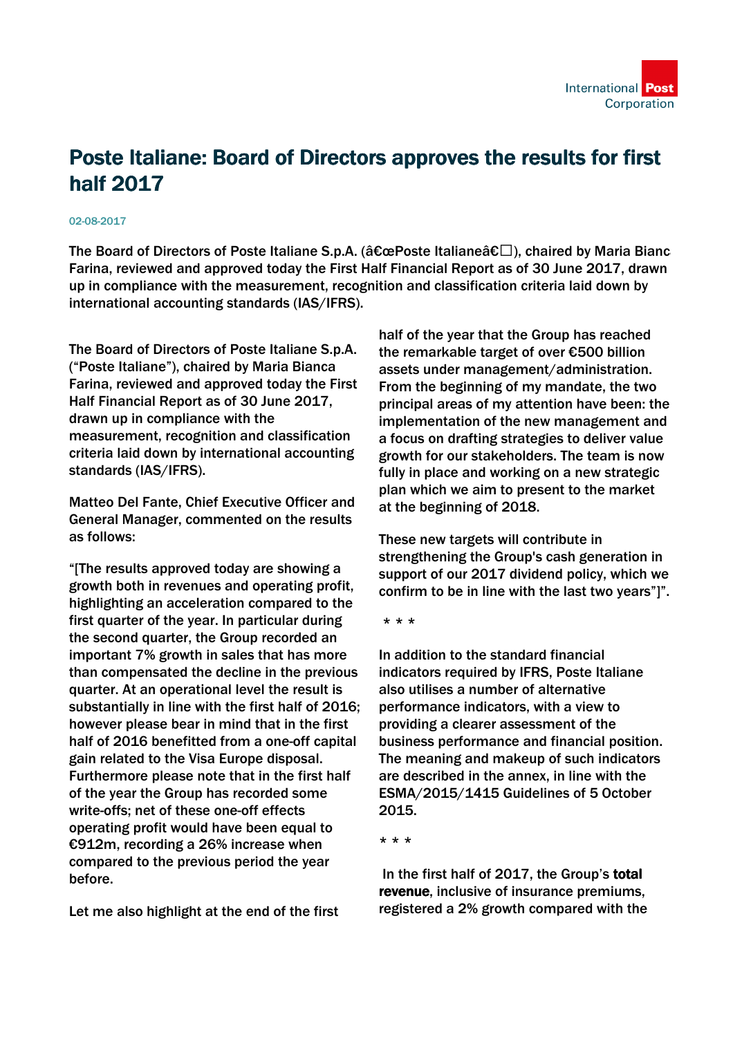

## Poste Italiane: Board of Directors approves the results for first half 2017

## 02-08-2017

The Board of Directors of Poste Italiane S.p.A. ( $\hat{a}\epsilon$ œPoste Italiane $\hat{a}\epsilon\square$ ), chaired by Maria Bianc Farina, reviewed and approved today the First Half Financial Report as of 30 June 2017, drawn up in compliance with the measurement, recognition and classification criteria laid down by international accounting standards (IAS/IFRS).

The Board of Directors of Poste Italiane S.p.A. ("Poste Italiane"), chaired by Maria Bianca Farina, reviewed and approved today the First Half Financial Report as of 30 June 2017, drawn up in compliance with the measurement, recognition and classification criteria laid down by international accounting standards (IAS/IFRS).

Matteo Del Fante, Chief Executive Officer and General Manager, commented on the results as follows:

"[The results approved today are showing a growth both in revenues and operating profit, highlighting an acceleration compared to the first quarter of the year. In particular during the second quarter, the Group recorded an important 7% growth in sales that has more than compensated the decline in the previous quarter. At an operational level the result is substantially in line with the first half of 2016; however please bear in mind that in the first half of 2016 benefitted from a one-off capital gain related to the Visa Europe disposal. Furthermore please note that in the first half of the year the Group has recorded some write-offs; net of these one-off effects operating profit would have been equal to €912m, recording a 26% increase when compared to the previous period the year before.

Let me also highlight at the end of the first

half of the year that the Group has reached the remarkable target of over €500 billion assets under management/administration. From the beginning of my mandate, the two principal areas of my attention have been: the implementation of the new management and a focus on drafting strategies to deliver value growth for our stakeholders. The team is now fully in place and working on a new strategic plan which we aim to present to the market at the beginning of 2018.

These new targets will contribute in strengthening the Group's cash generation in support of our 2017 dividend policy, which we confirm to be in line with the last two years"]".

\* \* \*

In addition to the standard financial indicators required by IFRS, Poste Italiane also utilises a number of alternative performance indicators, with a view to providing a clearer assessment of the business performance and financial position. The meaning and makeup of such indicators are described in the annex, in line with the ESMA/2015/1415 Guidelines of 5 October 2015.

\* \* \*

 In the first half of 2017, the Group's total revenue, inclusive of insurance premiums, registered a 2% growth compared with the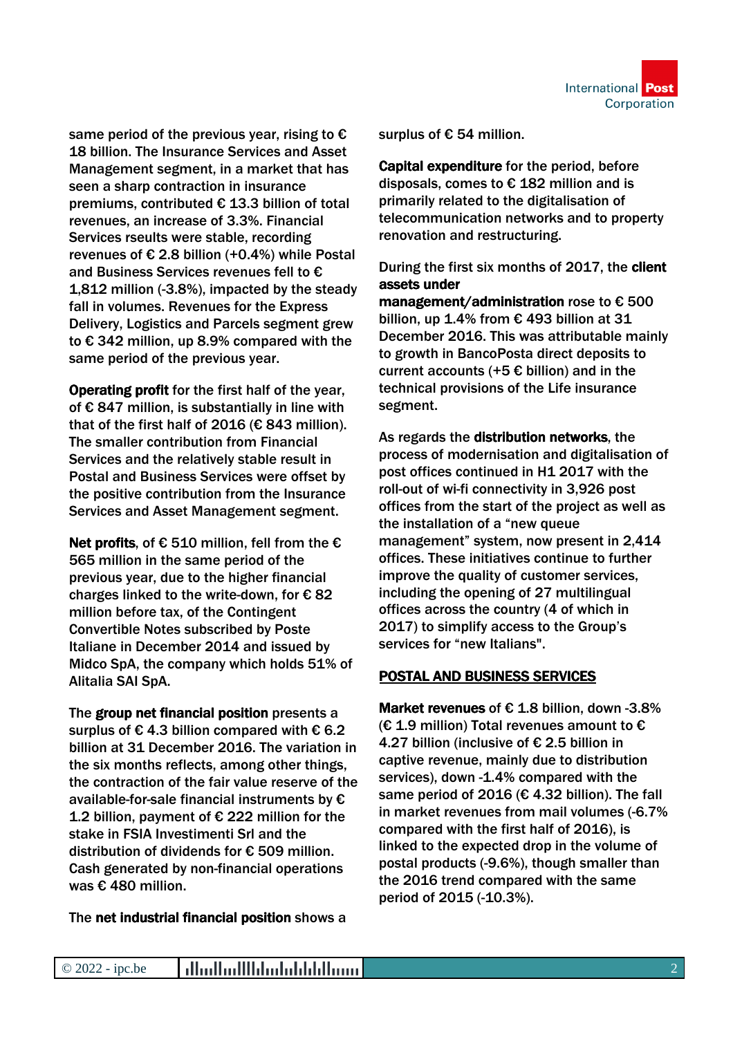same period of the previous year, rising to  $\epsilon$ 18 billion. The Insurance Services and Asset Management segment, in a market that has seen a sharp contraction in insurance premiums, contributed € 13.3 billion of total revenues, an increase of 3.3%. Financial Services rseults were stable, recording revenues of  $\epsilon$  2.8 billion (+0.4%) while Postal and Business Services revenues fell to € 1,812 million (-3.8%), impacted by the steady fall in volumes. Revenues for the Express Delivery, Logistics and Parcels segment grew to € 342 million, up 8.9% compared with the same period of the previous year.

Operating profit for the first half of the year, of € 847 million, is substantially in line with that of the first half of 2016 (€ 843 million). The smaller contribution from Financial Services and the relatively stable result in Postal and Business Services were offset by the positive contribution from the Insurance Services and Asset Management segment.

Net profits, of  $\epsilon$  510 million, fell from the  $\epsilon$ 565 million in the same period of the previous year, due to the higher financial charges linked to the write-down, for  $\epsilon$  82 million before tax, of the Contingent Convertible Notes subscribed by Poste Italiane in December 2014 and issued by Midco SpA, the company which holds 51% of Alitalia SAI SpA.

The group net financial position presents a surplus of  $\epsilon$  4.3 billion compared with  $\epsilon$  6.2 billion at 31 December 2016. The variation in the six months reflects, among other things, the contraction of the fair value reserve of the available-for-sale financial instruments by € 1.2 billion, payment of € 222 million for the stake in FSIA Investimenti Srl and the distribution of dividends for € 509 million. Cash generated by non-financial operations was € 480 million.

The net industrial financial position shows a

surplus of € 54 million.

Capital expenditure for the period, before disposals, comes to  $\epsilon$  182 million and is primarily related to the digitalisation of telecommunication networks and to property renovation and restructuring.

During the first six months of 2017, the client assets under

management/administration rose to € 500 billion, up 1.4% from € 493 billion at 31 December 2016. This was attributable mainly to growth in BancoPosta direct deposits to current accounts (+5 $\epsilon$  billion) and in the technical provisions of the Life insurance segment.

As regards the distribution networks, the process of modernisation and digitalisation of post offices continued in H1 2017 with the roll-out of wi-fi connectivity in 3,926 post offices from the start of the project as well as the installation of a "new queue management" system, now present in 2,414 offices. These initiatives continue to further improve the quality of customer services, including the opening of 27 multilingual offices across the country (4 of which in 2017) to simplify access to the Group's services for "new Italians".

## POSTAL AND BUSINESS SERVICES

Market revenues of  $\epsilon$  1.8 billion, down -3.8%  $(E 1.9$  million) Total revenues amount to € 4.27 billion (inclusive of € 2.5 billion in captive revenue, mainly due to distribution services), down -1.4% compared with the same period of 2016 ( $\epsilon$  4.32 billion). The fall in market revenues from mail volumes (-6.7% compared with the first half of 2016), is linked to the expected drop in the volume of postal products (-9.6%), though smaller than the 2016 trend compared with the same period of 2015 (-10.3%).